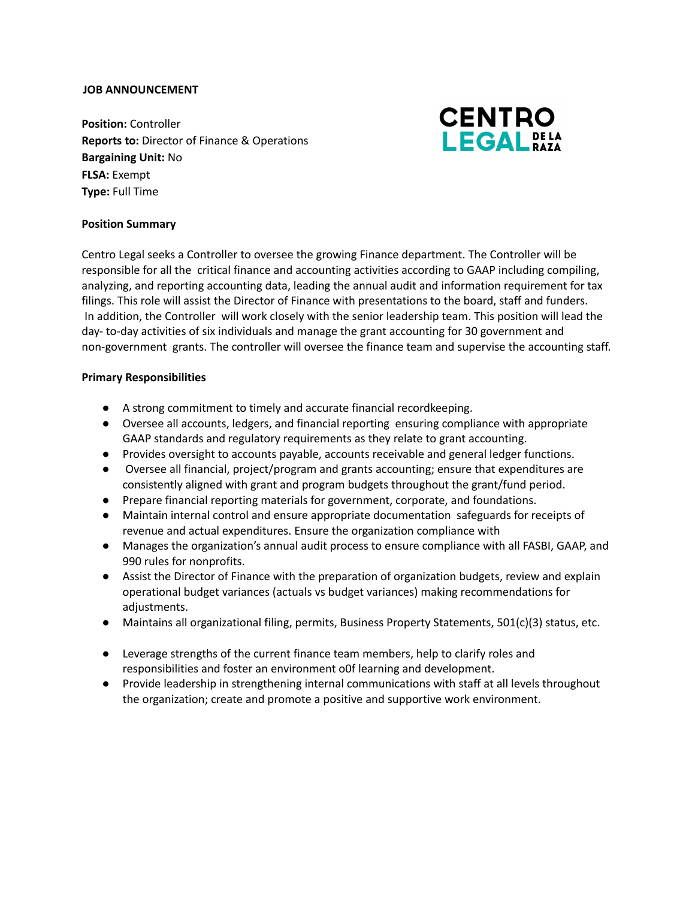### **JOB ANNOUNCEMENT**

**Position:** Controller **Reports to:** Director of Finance & Operations **Bargaining Unit:** No **FLSA:** Exempt **Type:** Full Time



### **Position Summary**

Centro Legal seeks a Controller to oversee the growing Finance department. The Controller will be responsible for all the critical finance and accounting activities according to GAAP including compiling, analyzing, and reporting accounting data, leading the annual audit and information requirement for tax filings. This role will assist the Director of Finance with presentations to the board, staff and funders. In addition, the Controller will work closely with the senior leadership team. This position will lead the day- to-day activities of six individuals and manage the grant accounting for 30 government and non-government grants. The controller will oversee the finance team and supervise the accounting staff.

#### **Primary Responsibilities**

- A strong commitment to timely and accurate financial recordkeeping.
- Oversee all accounts, ledgers, and financial reporting ensuring compliance with appropriate GAAP standards and regulatory requirements as they relate to grant accounting.
- Provides oversight to accounts payable, accounts receivable and general ledger functions.
- Oversee all financial, project/program and grants accounting; ensure that expenditures are consistently aligned with grant and program budgets throughout the grant/fund period.
- Prepare financial reporting materials for government, corporate, and foundations.
- Maintain internal control and ensure appropriate documentation safeguards for receipts of revenue and actual expenditures. Ensure the organization compliance with
- Manages the organization's annual audit process to ensure compliance with all FASBI, GAAP, and 990 rules for nonprofits.
- Assist the Director of Finance with the preparation of organization budgets, review and explain operational budget variances (actuals vs budget variances) making recommendations for adjustments.
- Maintains all organizational filing, permits, Business Property Statements, 501(c)(3) status, etc.
- Leverage strengths of the current finance team members, help to clarify roles and responsibilities and foster an environment o0f learning and development.
- Provide leadership in strengthening internal communications with staff at all levels throughout the organization; create and promote a positive and supportive work environment.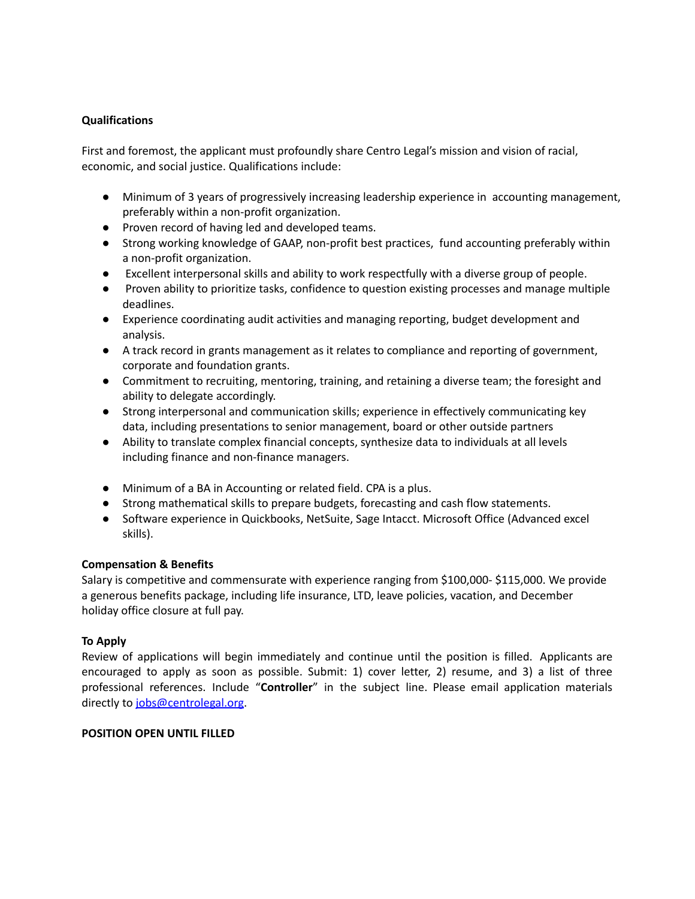# **Qualifications**

First and foremost, the applicant must profoundly share Centro Legal's mission and vision of racial, economic, and social justice. Qualifications include:

- Minimum of 3 years of progressively increasing leadership experience in accounting management, preferably within a non-profit organization.
- Proven record of having led and developed teams.
- Strong working knowledge of GAAP, non-profit best practices, fund accounting preferably within a non-profit organization.
- Excellent interpersonal skills and ability to work respectfully with a diverse group of people.
- Proven ability to prioritize tasks, confidence to question existing processes and manage multiple deadlines.
- Experience coordinating audit activities and managing reporting, budget development and analysis.
- A track record in grants management as it relates to compliance and reporting of government, corporate and foundation grants.
- Commitment to recruiting, mentoring, training, and retaining a diverse team; the foresight and ability to delegate accordingly.
- Strong interpersonal and communication skills; experience in effectively communicating key data, including presentations to senior management, board or other outside partners
- Ability to translate complex financial concepts, synthesize data to individuals at all levels including finance and non-finance managers.
- Minimum of a BA in Accounting or related field. CPA is a plus.
- Strong mathematical skills to prepare budgets, forecasting and cash flow statements.
- Software experience in Quickbooks, NetSuite, Sage Intacct. Microsoft Office (Advanced excel skills).

# **Compensation & Benefits**

Salary is competitive and commensurate with experience ranging from \$100,000- \$115,000. We provide a generous benefits package, including life insurance, LTD, leave policies, vacation, and December holiday office closure at full pay.

# **To Apply**

Review of applications will begin immediately and continue until the position is filled. Applicants are encouraged to apply as soon as possible. Submit: 1) cover letter, 2) resume, and 3) a list of three professional references. Include "**Controller**" in the subject line. Please email application materials directly to [jobs@centrolegal.org.](mailto:jobs@centrolegal.org)

# **POSITION OPEN UNTIL FILLED**